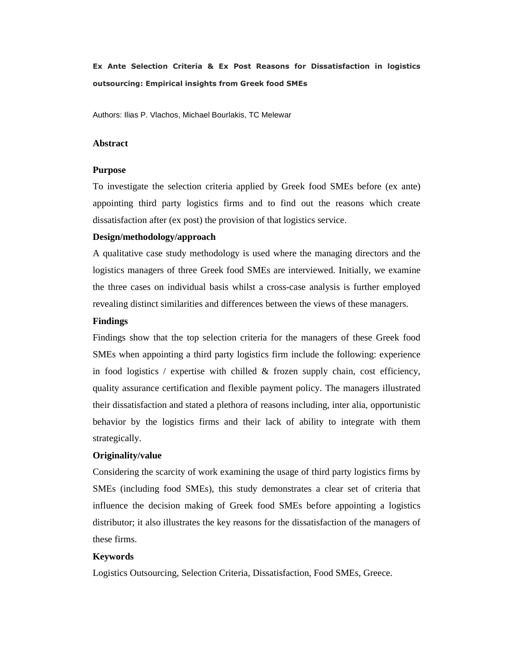Ex Ante Selection Criteria & Ex Post Reasons for Dissatisfaction in logistics outsourcing: Empirical insights from Greek food SMEs

Authors: Ilias P. Vlachos, Michael Bourlakis, TC Melewar

#### **Abstract**

#### **Purpose**

To investigate the selection criteria applied by Greek food SMEs before (ex ante) appointing third party logistics firms and to find out the reasons which create dissatisfaction after (ex post) the provision of that logistics service.

#### **Design/methodology/approach**

A qualitative case study methodology is used where the managing directors and the logistics managers of three Greek food SMEs are interviewed. Initially, we examine the three cases on individual basis whilst a cross-case analysis is further employed revealing distinct similarities and differences between the views of these managers.

#### **Findings**

Findings show that the top selection criteria for the managers of these Greek food SMEs when appointing a third party logistics firm include the following: experience in food logistics / expertise with chilled  $\&$  frozen supply chain, cost efficiency, quality assurance certification and flexible payment policy. The managers illustrated their dissatisfaction and stated a plethora of reasons including, inter alia, opportunistic behavior by the logistics firms and their lack of ability to integrate with them strategically.

#### **Originality/value**

Considering the scarcity of work examining the usage of third party logistics firms by SMEs (including food SMEs), this study demonstrates a clear set of criteria that influence the decision making of Greek food SMEs before appointing a logistics distributor; it also illustrates the key reasons for the dissatisfaction of the managers of these firms.

#### **Keywords**

Logistics Outsourcing, Selection Criteria, Dissatisfaction, Food SMEs, Greece.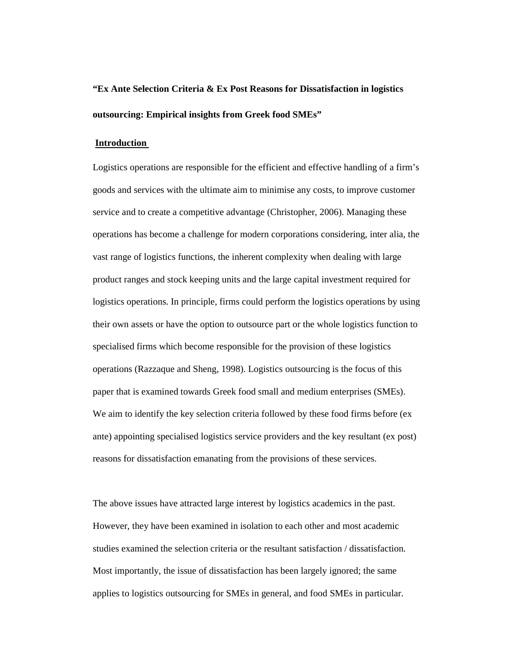# **"Ex Ante Selection Criteria & Ex Post Reasons for Dissatisfaction in logistics outsourcing: Empirical insights from Greek food SMEs"**

#### **Introduction**

Logistics operations are responsible for the efficient and effective handling of a firm's goods and services with the ultimate aim to minimise any costs, to improve customer service and to create a competitive advantage (Christopher, 2006). Managing these operations has become a challenge for modern corporations considering, inter alia, the vast range of logistics functions, the inherent complexity when dealing with large product ranges and stock keeping units and the large capital investment required for logistics operations. In principle, firms could perform the logistics operations by using their own assets or have the option to outsource part or the whole logistics function to specialised firms which become responsible for the provision of these logistics operations (Razzaque and Sheng, 1998). Logistics outsourcing is the focus of this paper that is examined towards Greek food small and medium enterprises (SMEs). We aim to identify the key selection criteria followed by these food firms before (ex ante) appointing specialised logistics service providers and the key resultant (ex post) reasons for dissatisfaction emanating from the provisions of these services.

The above issues have attracted large interest by logistics academics in the past. However, they have been examined in isolation to each other and most academic studies examined the selection criteria or the resultant satisfaction / dissatisfaction. Most importantly, the issue of dissatisfaction has been largely ignored; the same applies to logistics outsourcing for SMEs in general, and food SMEs in particular.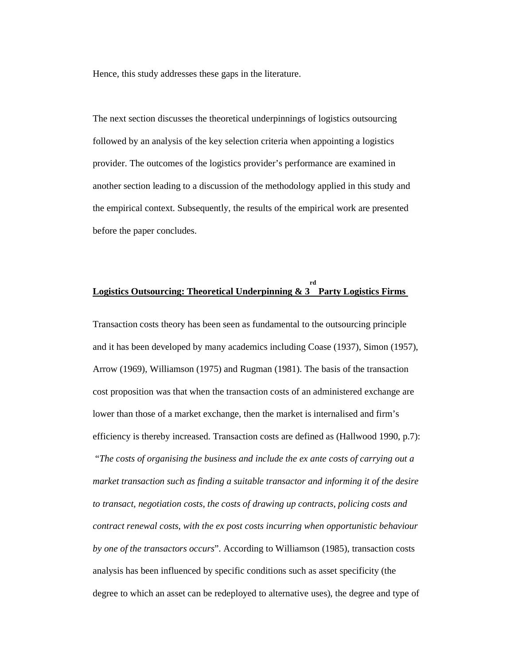Hence, this study addresses these gaps in the literature.

The next section discusses the theoretical underpinnings of logistics outsourcing followed by an analysis of the key selection criteria when appointing a logistics provider. The outcomes of the logistics provider's performance are examined in another section leading to a discussion of the methodology applied in this study and the empirical context. Subsequently, the results of the empirical work are presented before the paper concludes.

#### **Logistics Outsourcing: Theoretical Underpinning & 3 rd Party Logistics Firms**

Transaction costs theory has been seen as fundamental to the outsourcing principle and it has been developed by many academics including Coase (1937), Simon (1957), Arrow (1969), Williamson (1975) and Rugman (1981). The basis of the transaction cost proposition was that when the transaction costs of an administered exchange are lower than those of a market exchange, then the market is internalised and firm's efficiency is thereby increased. Transaction costs are defined as (Hallwood 1990, p.7): "*The costs of organising the business and include the ex ante costs of carrying out a market transaction such as finding a suitable transactor and informing it of the desire to transact, negotiation costs, the costs of drawing up contracts, policing costs and contract renewal costs, with the ex post costs incurring when opportunistic behaviour by one of the transactors occurs*". According to Williamson (1985), transaction costs analysis has been influenced by specific conditions such as asset specificity (the degree to which an asset can be redeployed to alternative uses), the degree and type of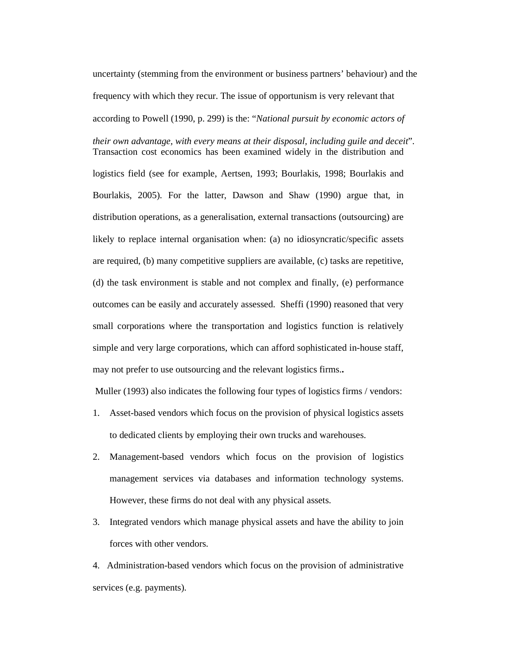uncertainty (stemming from the environment or business partners' behaviour) and the frequency with which they recur. The issue of opportunism is very relevant that according to Powell (1990, p. 299) is the: "*National pursuit by economic actors of* 

*their own advantage, with every means at their disposal, including guile and deceit*". Transaction cost economics has been examined widely in the distribution and

logistics field (see for example, Aertsen, 1993; Bourlakis, 1998; Bourlakis and Bourlakis, 2005). For the latter, Dawson and Shaw (1990) argue that, in distribution operations, as a generalisation, external transactions (outsourcing) are likely to replace internal organisation when: (a) no idiosyncratic/specific assets are required, (b) many competitive suppliers are available, (c) tasks are repetitive, (d) the task environment is stable and not complex and finally, (e) performance outcomes can be easily and accurately assessed. Sheffi (1990) reasoned that very small corporations where the transportation and logistics function is relatively simple and very large corporations, which can afford sophisticated in-house staff, may not prefer to use outsourcing and the relevant logistics firms.**.**

Muller (1993) also indicates the following four types of logistics firms / vendors:

- 1. Asset-based vendors which focus on the provision of physical logistics assets to dedicated clients by employing their own trucks and warehouses.
- 2. Management-based vendors which focus on the provision of logistics management services via databases and information technology systems. However, these firms do not deal with any physical assets.
- 3. Integrated vendors which manage physical assets and have the ability to join forces with other vendors.

4. Administration-based vendors which focus on the provision of administrative services (e.g. payments).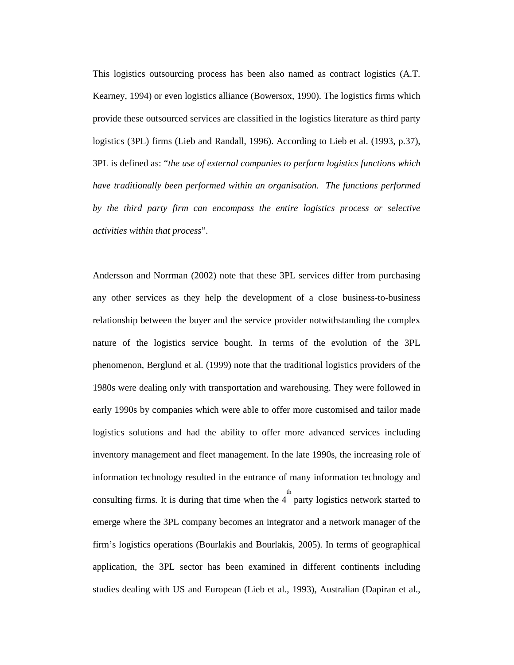This logistics outsourcing process has been also named as contract logistics (A.T. Kearney, 1994) or even logistics alliance (Bowersox, 1990). The logistics firms which provide these outsourced services are classified in the logistics literature as third party logistics (3PL) firms (Lieb and Randall, 1996). According to Lieb et al. (1993, p.37), 3PL is defined as: "*the use of external companies to perform logistics functions which have traditionally been performed within an organisation. The functions performed by the third party firm can encompass the entire logistics process or selective activities within that process*".

Andersson and Norrman (2002) note that these 3PL services differ from purchasing any other services as they help the development of a close business-to-business relationship between the buyer and the service provider notwithstanding the complex nature of the logistics service bought. In terms of the evolution of the 3PL phenomenon, Berglund et al. (1999) note that the traditional logistics providers of the 1980s were dealing only with transportation and warehousing. They were followed in early 1990s by companies which were able to offer more customised and tailor made logistics solutions and had the ability to offer more advanced services including inventory management and fleet management. In the late 1990s, the increasing role of information technology resulted in the entrance of many information technology and consulting firms. It is during that time when the  $4<sup>th</sup>$  party logistics network started to emerge where the 3PL company becomes an integrator and a network manager of the firm's logistics operations (Bourlakis and Bourlakis, 2005). In terms of geographical application, the 3PL sector has been examined in different continents including studies dealing with US and European (Lieb et al., 1993), Australian (Dapiran et al.,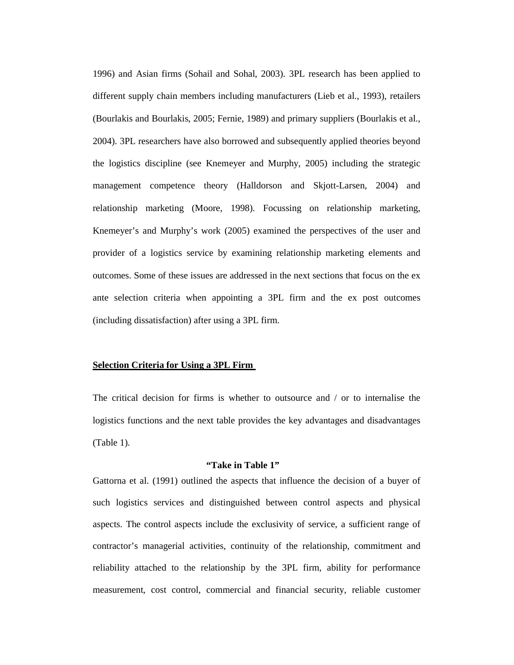1996) and Asian firms (Sohail and Sohal, 2003). 3PL research has been applied to different supply chain members including manufacturers (Lieb et al., 1993), retailers (Bourlakis and Bourlakis, 2005; Fernie, 1989) and primary suppliers (Bourlakis et al., 2004). 3PL researchers have also borrowed and subsequently applied theories beyond the logistics discipline (see Knemeyer and Murphy, 2005) including the strategic management competence theory (Halldorson and Skjott-Larsen, 2004) and relationship marketing (Moore, 1998). Focussing on relationship marketing, Knemeyer's and Murphy's work (2005) examined the perspectives of the user and provider of a logistics service by examining relationship marketing elements and outcomes. Some of these issues are addressed in the next sections that focus on the ex ante selection criteria when appointing a 3PL firm and the ex post outcomes (including dissatisfaction) after using a 3PL firm.

### **Selection Criteria for Using a 3PL Firm**

The critical decision for firms is whether to outsource and / or to internalise the logistics functions and the next table provides the key advantages and disadvantages (Table 1).

#### **"Take in Table 1"**

Gattorna et al. (1991) outlined the aspects that influence the decision of a buyer of such logistics services and distinguished between control aspects and physical aspects. The control aspects include the exclusivity of service, a sufficient range of contractor's managerial activities, continuity of the relationship, commitment and reliability attached to the relationship by the 3PL firm, ability for performance measurement, cost control, commercial and financial security, reliable customer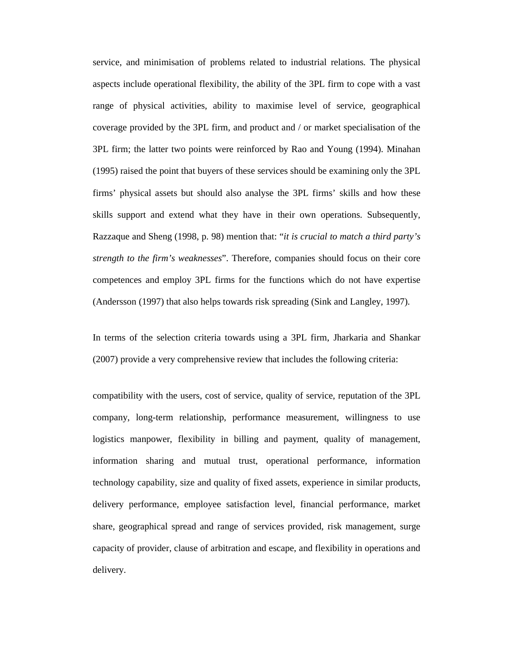service, and minimisation of problems related to industrial relations. The physical aspects include operational flexibility, the ability of the 3PL firm to cope with a vast range of physical activities, ability to maximise level of service, geographical coverage provided by the 3PL firm, and product and / or market specialisation of the 3PL firm; the latter two points were reinforced by Rao and Young (1994). Minahan (1995) raised the point that buyers of these services should be examining only the 3PL firms' physical assets but should also analyse the 3PL firms' skills and how these skills support and extend what they have in their own operations. Subsequently, Razzaque and Sheng (1998, p. 98) mention that: "*it is crucial to match a third party's strength to the firm's weaknesses*". Therefore, companies should focus on their core competences and employ 3PL firms for the functions which do not have expertise (Andersson (1997) that also helps towards risk spreading (Sink and Langley, 1997).

In terms of the selection criteria towards using a 3PL firm, Jharkaria and Shankar (2007) provide a very comprehensive review that includes the following criteria:

compatibility with the users, cost of service, quality of service, reputation of the 3PL company, long-term relationship, performance measurement, willingness to use logistics manpower, flexibility in billing and payment, quality of management, information sharing and mutual trust, operational performance, information technology capability, size and quality of fixed assets, experience in similar products, delivery performance, employee satisfaction level, financial performance, market share, geographical spread and range of services provided, risk management, surge capacity of provider, clause of arbitration and escape, and flexibility in operations and delivery.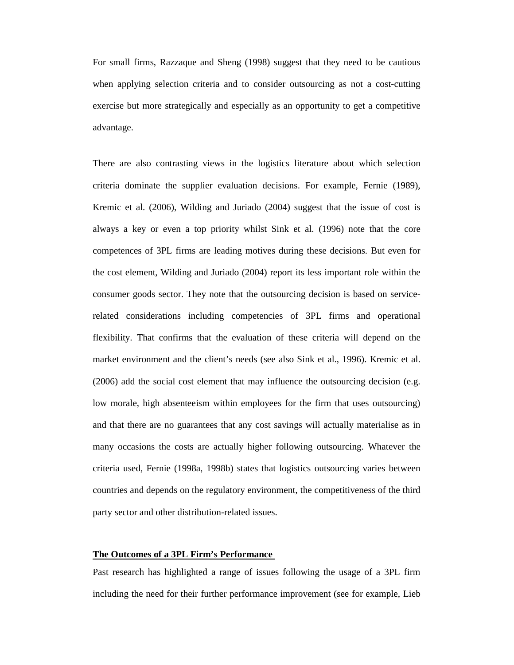For small firms, Razzaque and Sheng (1998) suggest that they need to be cautious when applying selection criteria and to consider outsourcing as not a cost-cutting exercise but more strategically and especially as an opportunity to get a competitive advantage.

There are also contrasting views in the logistics literature about which selection criteria dominate the supplier evaluation decisions. For example, Fernie (1989), Kremic et al. (2006), Wilding and Juriado (2004) suggest that the issue of cost is always a key or even a top priority whilst Sink et al. (1996) note that the core competences of 3PL firms are leading motives during these decisions. But even for the cost element, Wilding and Juriado (2004) report its less important role within the consumer goods sector. They note that the outsourcing decision is based on servicerelated considerations including competencies of 3PL firms and operational flexibility. That confirms that the evaluation of these criteria will depend on the market environment and the client's needs (see also Sink et al., 1996). Kremic et al. (2006) add the social cost element that may influence the outsourcing decision (e.g. low morale, high absenteeism within employees for the firm that uses outsourcing) and that there are no guarantees that any cost savings will actually materialise as in many occasions the costs are actually higher following outsourcing. Whatever the criteria used, Fernie (1998a, 1998b) states that logistics outsourcing varies between countries and depends on the regulatory environment, the competitiveness of the third party sector and other distribution-related issues.

#### **The Outcomes of a 3PL Firm's Performance**

Past research has highlighted a range of issues following the usage of a 3PL firm including the need for their further performance improvement (see for example, Lieb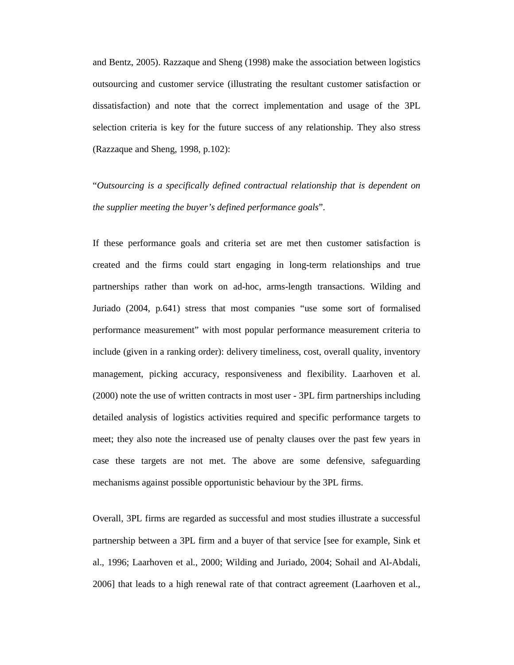and Bentz, 2005). Razzaque and Sheng (1998) make the association between logistics outsourcing and customer service (illustrating the resultant customer satisfaction or dissatisfaction) and note that the correct implementation and usage of the 3PL selection criteria is key for the future success of any relationship. They also stress (Razzaque and Sheng, 1998, p.102):

"*Outsourcing is a specifically defined contractual relationship that is dependent on the supplier meeting the buyer's defined performance goals*".

If these performance goals and criteria set are met then customer satisfaction is created and the firms could start engaging in long-term relationships and true partnerships rather than work on ad-hoc, arms-length transactions. Wilding and Juriado (2004, p.641) stress that most companies "use some sort of formalised performance measurement" with most popular performance measurement criteria to include (given in a ranking order): delivery timeliness, cost, overall quality, inventory management, picking accuracy, responsiveness and flexibility. Laarhoven et al. (2000) note the use of written contracts in most user - 3PL firm partnerships including detailed analysis of logistics activities required and specific performance targets to meet; they also note the increased use of penalty clauses over the past few years in case these targets are not met. The above are some defensive, safeguarding mechanisms against possible opportunistic behaviour by the 3PL firms.

Overall, 3PL firms are regarded as successful and most studies illustrate a successful partnership between a 3PL firm and a buyer of that service [see for example, Sink et al., 1996; Laarhoven et al., 2000; Wilding and Juriado, 2004; Sohail and Al-Abdali, 2006] that leads to a high renewal rate of that contract agreement (Laarhoven et al.,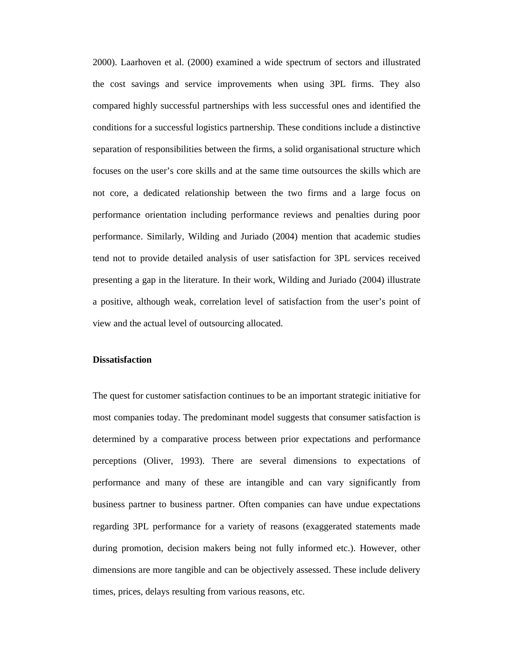2000). Laarhoven et al. (2000) examined a wide spectrum of sectors and illustrated the cost savings and service improvements when using 3PL firms. They also compared highly successful partnerships with less successful ones and identified the conditions for a successful logistics partnership. These conditions include a distinctive separation of responsibilities between the firms, a solid organisational structure which focuses on the user's core skills and at the same time outsources the skills which are not core, a dedicated relationship between the two firms and a large focus on performance orientation including performance reviews and penalties during poor performance. Similarly, Wilding and Juriado (2004) mention that academic studies tend not to provide detailed analysis of user satisfaction for 3PL services received presenting a gap in the literature. In their work, Wilding and Juriado (2004) illustrate a positive, although weak, correlation level of satisfaction from the user's point of view and the actual level of outsourcing allocated.

#### **Dissatisfaction**

The quest for customer satisfaction continues to be an important strategic initiative for most companies today. The predominant model suggests that consumer satisfaction is determined by a comparative process between prior expectations and performance perceptions (Oliver, 1993). There are several dimensions to expectations of performance and many of these are intangible and can vary significantly from business partner to business partner. Often companies can have undue expectations regarding 3PL performance for a variety of reasons (exaggerated statements made during promotion, decision makers being not fully informed etc.). However, other dimensions are more tangible and can be objectively assessed. These include delivery times, prices, delays resulting from various reasons, etc.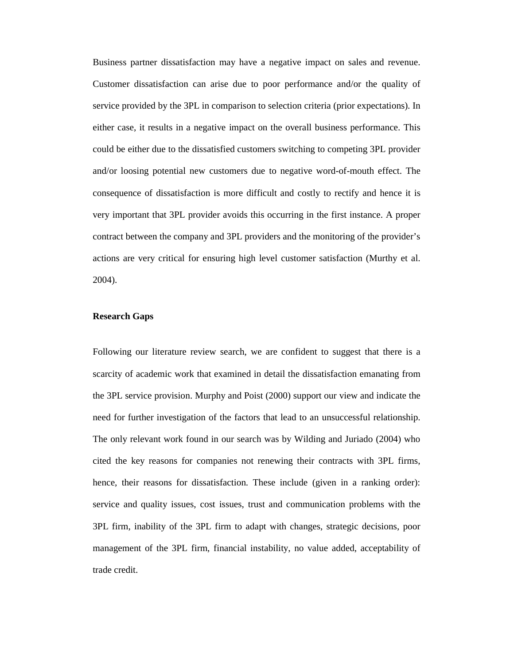Business partner dissatisfaction may have a negative impact on sales and revenue. Customer dissatisfaction can arise due to poor performance and/or the quality of service provided by the 3PL in comparison to selection criteria (prior expectations). In either case, it results in a negative impact on the overall business performance. This could be either due to the dissatisfied customers switching to competing 3PL provider and/or loosing potential new customers due to negative word-of-mouth effect. The consequence of dissatisfaction is more difficult and costly to rectify and hence it is very important that 3PL provider avoids this occurring in the first instance. A proper contract between the company and 3PL providers and the monitoring of the provider's actions are very critical for ensuring high level customer satisfaction (Murthy et al. 2004).

#### **Research Gaps**

Following our literature review search, we are confident to suggest that there is a scarcity of academic work that examined in detail the dissatisfaction emanating from the 3PL service provision. Murphy and Poist (2000) support our view and indicate the need for further investigation of the factors that lead to an unsuccessful relationship. The only relevant work found in our search was by Wilding and Juriado (2004) who cited the key reasons for companies not renewing their contracts with 3PL firms, hence, their reasons for dissatisfaction. These include (given in a ranking order): service and quality issues, cost issues, trust and communication problems with the 3PL firm, inability of the 3PL firm to adapt with changes, strategic decisions, poor management of the 3PL firm, financial instability, no value added, acceptability of trade credit.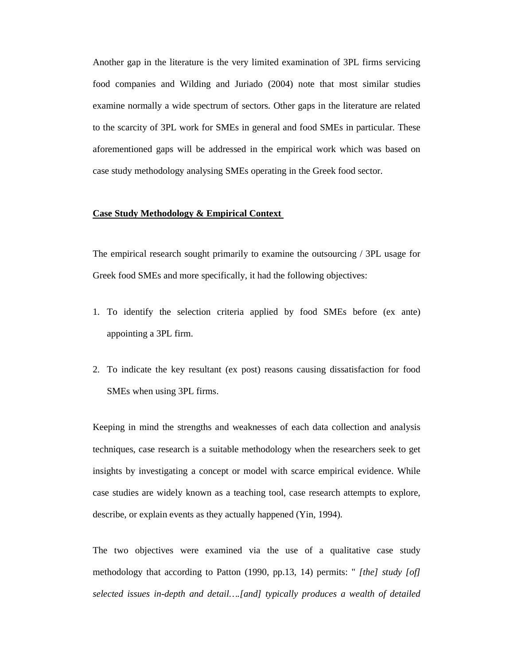Another gap in the literature is the very limited examination of 3PL firms servicing food companies and Wilding and Juriado (2004) note that most similar studies examine normally a wide spectrum of sectors. Other gaps in the literature are related to the scarcity of 3PL work for SMEs in general and food SMEs in particular. These aforementioned gaps will be addressed in the empirical work which was based on case study methodology analysing SMEs operating in the Greek food sector.

#### **Case Study Methodology & Empirical Context**

The empirical research sought primarily to examine the outsourcing / 3PL usage for Greek food SMEs and more specifically, it had the following objectives:

- 1. To identify the selection criteria applied by food SMEs before (ex ante) appointing a 3PL firm.
- 2. To indicate the key resultant (ex post) reasons causing dissatisfaction for food SMEs when using 3PL firms.

Keeping in mind the strengths and weaknesses of each data collection and analysis techniques, case research is a suitable methodology when the researchers seek to get insights by investigating a concept or model with scarce empirical evidence. While case studies are widely known as a teaching tool, case research attempts to explore, describe, or explain events as they actually happened (Yin, 1994).

The two objectives were examined via the use of a qualitative case study methodology that according to Patton (1990, pp.13, 14) permits: " *[the] study [of] selected issues in-depth and detail….[and] typically produces a wealth of detailed*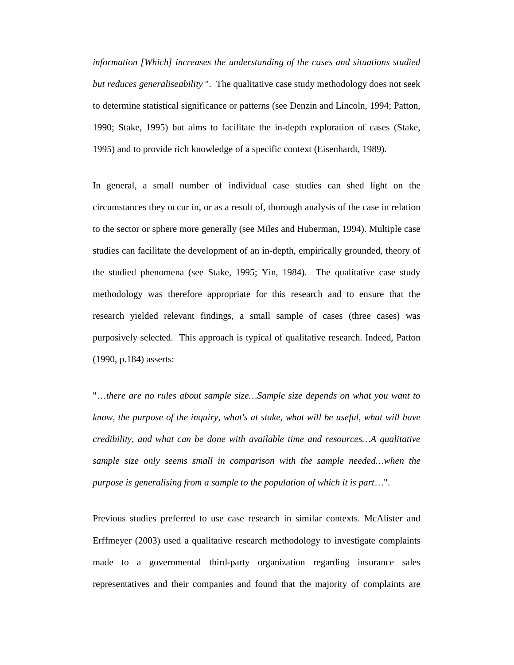*information [Which] increases the understanding of the cases and situations studied but reduces generaliseability* ". The qualitative case study methodology does not seek to determine statistical significance or patterns (see Denzin and Lincoln, 1994; Patton, 1990; Stake, 1995) but aims to facilitate the in-depth exploration of cases (Stake, 1995) and to provide rich knowledge of a specific context (Eisenhardt, 1989).

In general, a small number of individual case studies can shed light on the circumstances they occur in, or as a result of, thorough analysis of the case in relation to the sector or sphere more generally (see Miles and Huberman, 1994). Multiple case studies can facilitate the development of an in-depth, empirically grounded, theory of the studied phenomena (see Stake, 1995; Yin, 1984). The qualitative case study methodology was therefore appropriate for this research and to ensure that the research yielded relevant findings, a small sample of cases (three cases) was purposively selected. This approach is typical of qualitative research. Indeed, Patton (1990, p.184) asserts:

"…*there are no rules about sample size…Sample size depends on what you want to know, the purpose of the inquiry, what's at stake, what will be useful, what will have credibility, and what can be done with available time and resources…A qualitative sample size only seems small in comparison with the sample needed...when the purpose is generalising from a sample to the population of which it is part*…".

Previous studies preferred to use case research in similar contexts. McAlister and Erffmeyer (2003) used a qualitative research methodology to investigate complaints made to a governmental third-party organization regarding insurance sales representatives and their companies and found that the majority of complaints are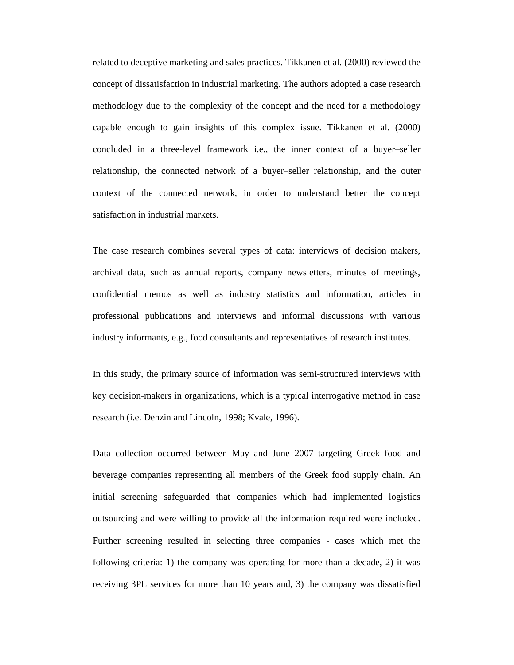related to deceptive marketing and sales practices. Tikkanen et al. (2000) reviewed the concept of dissatisfaction in industrial marketing. The authors adopted a case research methodology due to the complexity of the concept and the need for a methodology capable enough to gain insights of this complex issue. Tikkanen et al. (2000) concluded in a three-level framework i.e., the inner context of a buyer–seller relationship, the connected network of a buyer–seller relationship, and the outer context of the connected network, in order to understand better the concept satisfaction in industrial markets.

The case research combines several types of data: interviews of decision makers, archival data, such as annual reports, company newsletters, minutes of meetings, confidential memos as well as industry statistics and information, articles in professional publications and interviews and informal discussions with various industry informants, e.g., food consultants and representatives of research institutes.

In this study, the primary source of information was semi-structured interviews with key decision-makers in organizations, which is a typical interrogative method in case research (i.e. Denzin and Lincoln, 1998; Kvale, 1996).

Data collection occurred between May and June 2007 targeting Greek food and beverage companies representing all members of the Greek food supply chain. An initial screening safeguarded that companies which had implemented logistics outsourcing and were willing to provide all the information required were included. Further screening resulted in selecting three companies - cases which met the following criteria: 1) the company was operating for more than a decade, 2) it was receiving 3PL services for more than 10 years and, 3) the company was dissatisfied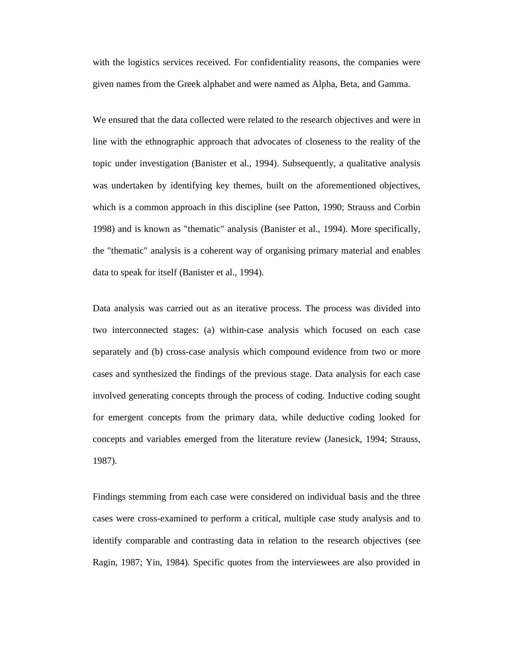with the logistics services received. For confidentiality reasons, the companies were given names from the Greek alphabet and were named as Alpha, Beta, and Gamma.

We ensured that the data collected were related to the research objectives and were in line with the ethnographic approach that advocates of closeness to the reality of the topic under investigation (Banister et al., 1994). Subsequently, a qualitative analysis was undertaken by identifying key themes, built on the aforementioned objectives, which is a common approach in this discipline (see Patton, 1990; Strauss and Corbin 1998) and is known as "thematic" analysis (Banister et al., 1994). More specifically, the "thematic" analysis is a coherent way of organising primary material and enables data to speak for itself (Banister et al., 1994).

Data analysis was carried out as an iterative process. The process was divided into two interconnected stages: (a) within-case analysis which focused on each case separately and (b) cross-case analysis which compound evidence from two or more cases and synthesized the findings of the previous stage. Data analysis for each case involved generating concepts through the process of coding. Inductive coding sought for emergent concepts from the primary data, while deductive coding looked for concepts and variables emerged from the literature review (Janesick, 1994; Strauss, 1987).

Findings stemming from each case were considered on individual basis and the three cases were cross-examined to perform a critical, multiple case study analysis and to identify comparable and contrasting data in relation to the research objectives (see Ragin, 1987; Yin, 1984). Specific quotes from the interviewees are also provided in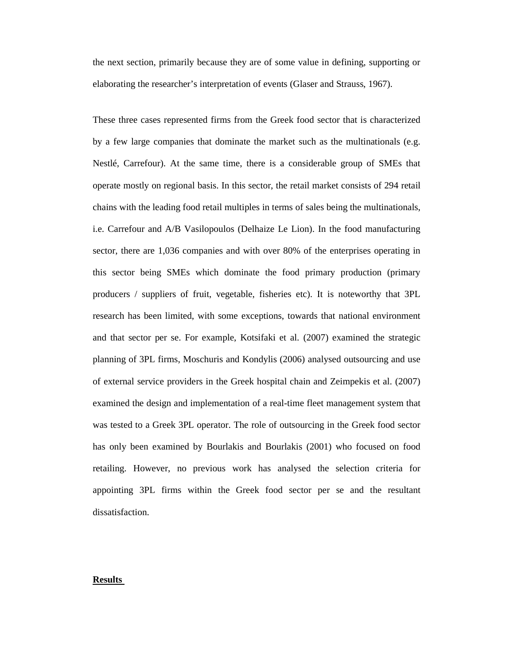the next section, primarily because they are of some value in defining, supporting or elaborating the researcher's interpretation of events (Glaser and Strauss, 1967).

These three cases represented firms from the Greek food sector that is characterized by a few large companies that dominate the market such as the multinationals (e.g. Nestlé, Carrefour). At the same time, there is a considerable group of SMEs that operate mostly on regional basis. In this sector, the retail market consists of 294 retail chains with the leading food retail multiples in terms of sales being the multinationals, i.e. Carrefour and A/B Vasilopoulos (Delhaize Le Lion). In the food manufacturing sector, there are 1,036 companies and with over 80% of the enterprises operating in this sector being SMEs which dominate the food primary production (primary producers / suppliers of fruit, vegetable, fisheries etc). It is noteworthy that 3PL research has been limited, with some exceptions, towards that national environment and that sector per se. For example, Kotsifaki et al. (2007) examined the strategic planning of 3PL firms, Moschuris and Kondylis (2006) analysed outsourcing and use of external service providers in the Greek hospital chain and Zeimpekis et al. (2007) examined the design and implementation of a real-time fleet management system that was tested to a Greek 3PL operator. The role of outsourcing in the Greek food sector has only been examined by Bourlakis and Bourlakis (2001) who focused on food retailing. However, no previous work has analysed the selection criteria for appointing 3PL firms within the Greek food sector per se and the resultant dissatisfaction.

#### **Results**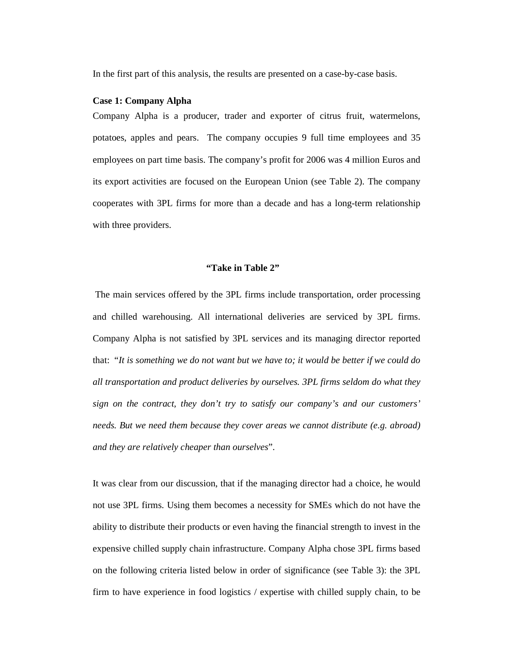In the first part of this analysis, the results are presented on a case-by-case basis.

#### **Case 1: Company Alpha**

Company Alpha is a producer, trader and exporter of citrus fruit, watermelons, potatoes, apples and pears. The company occupies 9 full time employees and 35 employees on part time basis. The company's profit for 2006 was 4 million Euros and its export activities are focused on the European Union (see Table 2). The company cooperates with 3PL firms for more than a decade and has a long-term relationship with three providers.

#### **"Take in Table 2"**

 The main services offered by the 3PL firms include transportation, order processing and chilled warehousing. All international deliveries are serviced by 3PL firms. Company Alpha is not satisfied by 3PL services and its managing director reported that: "*It is something we do not want but we have to; it would be better if we could do all transportation and product deliveries by ourselves. 3PL firms seldom do what they sign on the contract, they don't try to satisfy our company's and our customers' needs. But we need them because they cover areas we cannot distribute (e.g. abroad) and they are relatively cheaper than ourselves*".

It was clear from our discussion, that if the managing director had a choice, he would not use 3PL firms. Using them becomes a necessity for SMEs which do not have the ability to distribute their products or even having the financial strength to invest in the expensive chilled supply chain infrastructure. Company Alpha chose 3PL firms based on the following criteria listed below in order of significance (see Table 3): the 3PL firm to have experience in food logistics / expertise with chilled supply chain, to be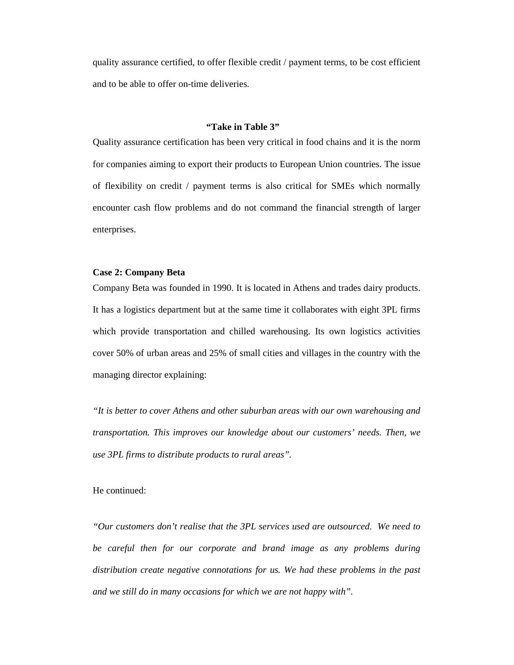quality assurance certified, to offer flexible credit / payment terms, to be cost efficient and to be able to offer on-time deliveries.

#### **"Take in Table 3"**

Quality assurance certification has been very critical in food chains and it is the norm for companies aiming to export their products to European Union countries. The issue of flexibility on credit / payment terms is also critical for SMEs which normally encounter cash flow problems and do not command the financial strength of larger enterprises.

#### **Case 2: Company Beta**

Company Beta was founded in 1990. It is located in Athens and trades dairy products. It has a logistics department but at the same time it collaborates with eight 3PL firms which provide transportation and chilled warehousing. Its own logistics activities cover 50% of urban areas and 25% of small cities and villages in the country with the managing director explaining:

*"It is better to cover Athens and other suburban areas with our own warehousing and transportation. This improves our knowledge about our customers' needs. Then, we use 3PL firms to distribute products to rural areas".* 

He continued:

*"Our customers don't realise that the 3PL services used are outsourced. We need to be careful then for our corporate and brand image as any problems during distribution create negative connotations for us. We had these problems in the past and we still do in many occasions for which we are not happy with".*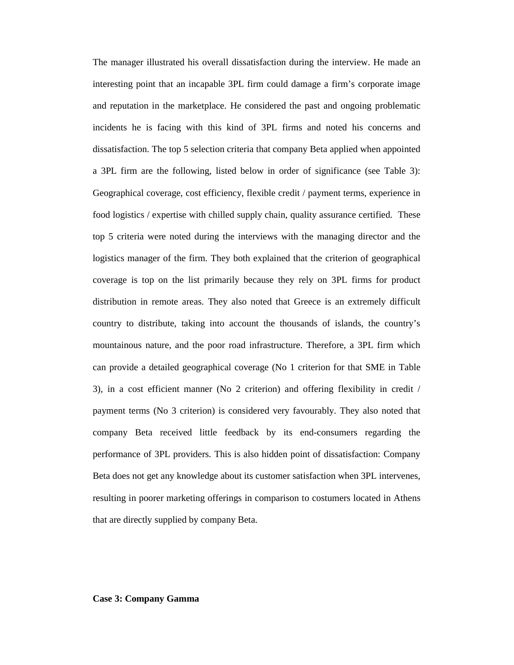The manager illustrated his overall dissatisfaction during the interview. He made an interesting point that an incapable 3PL firm could damage a firm's corporate image and reputation in the marketplace. He considered the past and ongoing problematic incidents he is facing with this kind of 3PL firms and noted his concerns and dissatisfaction. The top 5 selection criteria that company Beta applied when appointed a 3PL firm are the following, listed below in order of significance (see Table 3): Geographical coverage, cost efficiency, flexible credit / payment terms, experience in food logistics / expertise with chilled supply chain, quality assurance certified. These top 5 criteria were noted during the interviews with the managing director and the logistics manager of the firm. They both explained that the criterion of geographical coverage is top on the list primarily because they rely on 3PL firms for product distribution in remote areas. They also noted that Greece is an extremely difficult country to distribute, taking into account the thousands of islands, the country's mountainous nature, and the poor road infrastructure. Therefore, a 3PL firm which can provide a detailed geographical coverage (No 1 criterion for that SME in Table 3), in a cost efficient manner (No 2 criterion) and offering flexibility in credit / payment terms (No 3 criterion) is considered very favourably. They also noted that company Beta received little feedback by its end-consumers regarding the performance of 3PL providers. This is also hidden point of dissatisfaction: Company Beta does not get any knowledge about its customer satisfaction when 3PL intervenes, resulting in poorer marketing offerings in comparison to costumers located in Athens that are directly supplied by company Beta.

#### **Case 3: Company Gamma**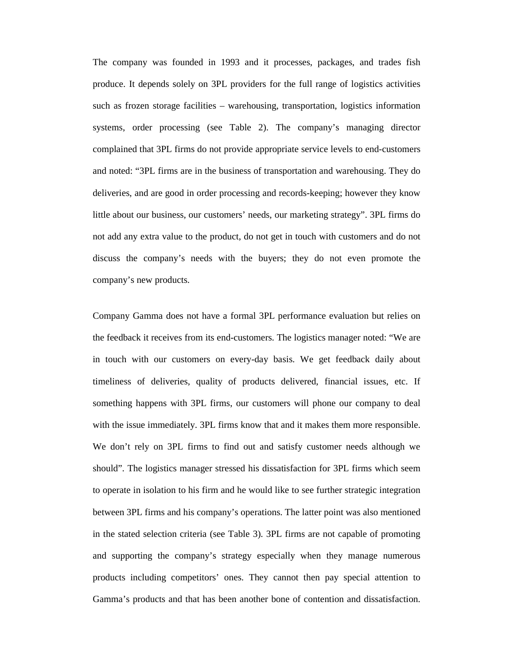The company was founded in 1993 and it processes, packages, and trades fish produce. It depends solely on 3PL providers for the full range of logistics activities such as frozen storage facilities – warehousing, transportation, logistics information systems, order processing (see Table 2). The company's managing director complained that 3PL firms do not provide appropriate service levels to end-customers and noted: "3PL firms are in the business of transportation and warehousing. They do deliveries, and are good in order processing and records-keeping; however they know little about our business, our customers' needs, our marketing strategy". 3PL firms do not add any extra value to the product, do not get in touch with customers and do not discuss the company's needs with the buyers; they do not even promote the company's new products.

Company Gamma does not have a formal 3PL performance evaluation but relies on the feedback it receives from its end-customers. The logistics manager noted: "We are in touch with our customers on every-day basis. We get feedback daily about timeliness of deliveries, quality of products delivered, financial issues, etc. If something happens with 3PL firms, our customers will phone our company to deal with the issue immediately. 3PL firms know that and it makes them more responsible. We don't rely on 3PL firms to find out and satisfy customer needs although we should". The logistics manager stressed his dissatisfaction for 3PL firms which seem to operate in isolation to his firm and he would like to see further strategic integration between 3PL firms and his company's operations. The latter point was also mentioned in the stated selection criteria (see Table 3). 3PL firms are not capable of promoting and supporting the company's strategy especially when they manage numerous products including competitors' ones. They cannot then pay special attention to Gamma's products and that has been another bone of contention and dissatisfaction.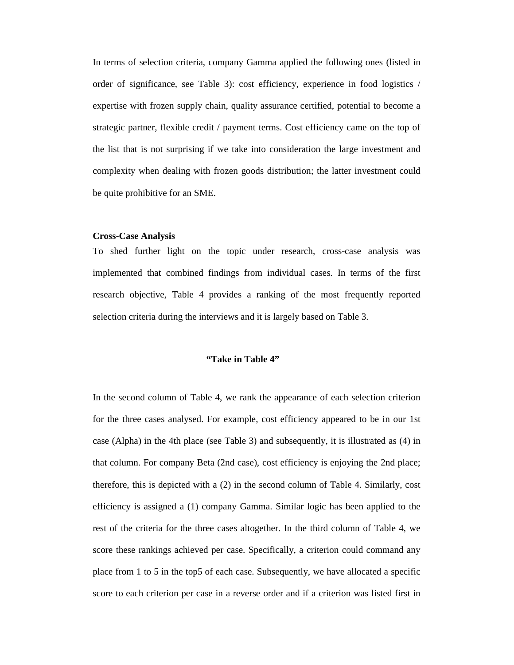In terms of selection criteria, company Gamma applied the following ones (listed in order of significance, see Table 3): cost efficiency, experience in food logistics / expertise with frozen supply chain, quality assurance certified, potential to become a strategic partner, flexible credit / payment terms. Cost efficiency came on the top of the list that is not surprising if we take into consideration the large investment and complexity when dealing with frozen goods distribution; the latter investment could be quite prohibitive for an SME.

#### **Cross-Case Analysis**

To shed further light on the topic under research, cross-case analysis was implemented that combined findings from individual cases. In terms of the first research objective, Table 4 provides a ranking of the most frequently reported selection criteria during the interviews and it is largely based on Table 3.

#### **"Take in Table 4"**

In the second column of Table 4, we rank the appearance of each selection criterion for the three cases analysed. For example, cost efficiency appeared to be in our 1st case (Alpha) in the 4th place (see Table 3) and subsequently, it is illustrated as (4) in that column. For company Beta (2nd case), cost efficiency is enjoying the 2nd place; therefore, this is depicted with a (2) in the second column of Table 4. Similarly, cost efficiency is assigned a (1) company Gamma. Similar logic has been applied to the rest of the criteria for the three cases altogether. In the third column of Table 4, we score these rankings achieved per case. Specifically, a criterion could command any place from 1 to 5 in the top5 of each case. Subsequently, we have allocated a specific score to each criterion per case in a reverse order and if a criterion was listed first in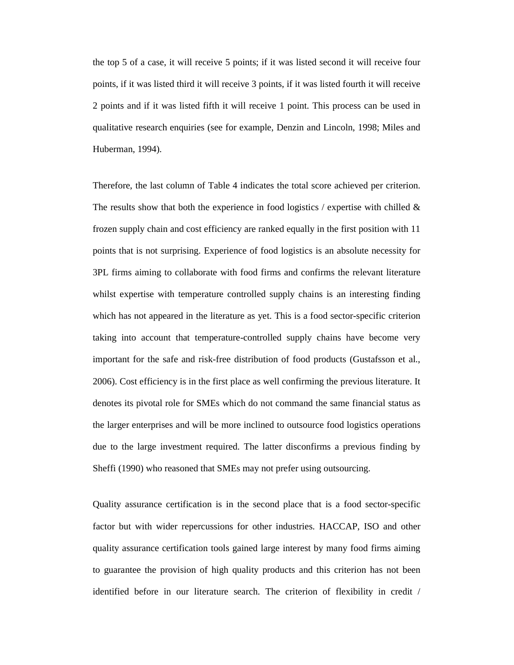the top 5 of a case, it will receive 5 points; if it was listed second it will receive four points, if it was listed third it will receive 3 points, if it was listed fourth it will receive 2 points and if it was listed fifth it will receive 1 point. This process can be used in qualitative research enquiries (see for example, Denzin and Lincoln, 1998; Miles and Huberman, 1994).

Therefore, the last column of Table 4 indicates the total score achieved per criterion. The results show that both the experience in food logistics / expertise with chilled  $\&$ frozen supply chain and cost efficiency are ranked equally in the first position with 11 points that is not surprising. Experience of food logistics is an absolute necessity for 3PL firms aiming to collaborate with food firms and confirms the relevant literature whilst expertise with temperature controlled supply chains is an interesting finding which has not appeared in the literature as yet. This is a food sector-specific criterion taking into account that temperature-controlled supply chains have become very important for the safe and risk-free distribution of food products (Gustafsson et al., 2006). Cost efficiency is in the first place as well confirming the previous literature. It denotes its pivotal role for SMEs which do not command the same financial status as the larger enterprises and will be more inclined to outsource food logistics operations due to the large investment required. The latter disconfirms a previous finding by Sheffi (1990) who reasoned that SMEs may not prefer using outsourcing.

Quality assurance certification is in the second place that is a food sector-specific factor but with wider repercussions for other industries. HACCAP, ISO and other quality assurance certification tools gained large interest by many food firms aiming to guarantee the provision of high quality products and this criterion has not been identified before in our literature search. The criterion of flexibility in credit /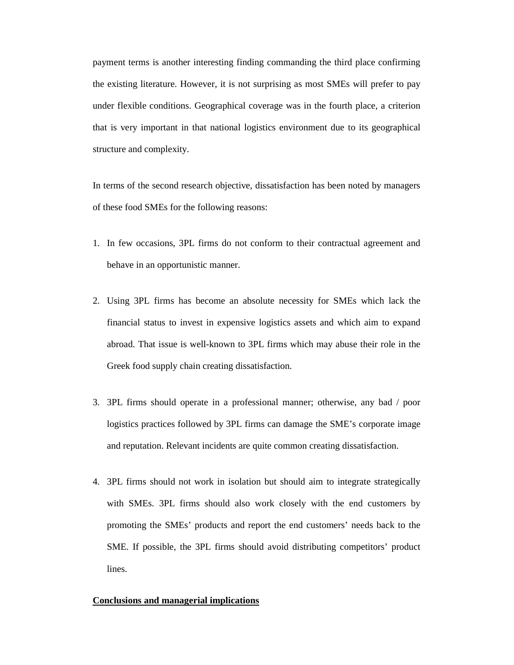payment terms is another interesting finding commanding the third place confirming the existing literature. However, it is not surprising as most SMEs will prefer to pay under flexible conditions. Geographical coverage was in the fourth place, a criterion that is very important in that national logistics environment due to its geographical structure and complexity.

In terms of the second research objective, dissatisfaction has been noted by managers of these food SMEs for the following reasons:

- 1. In few occasions, 3PL firms do not conform to their contractual agreement and behave in an opportunistic manner.
- 2. Using 3PL firms has become an absolute necessity for SMEs which lack the financial status to invest in expensive logistics assets and which aim to expand abroad. That issue is well-known to 3PL firms which may abuse their role in the Greek food supply chain creating dissatisfaction.
- 3. 3PL firms should operate in a professional manner; otherwise, any bad / poor logistics practices followed by 3PL firms can damage the SME's corporate image and reputation. Relevant incidents are quite common creating dissatisfaction.
- 4. 3PL firms should not work in isolation but should aim to integrate strategically with SMEs. 3PL firms should also work closely with the end customers by promoting the SMEs' products and report the end customers' needs back to the SME. If possible, the 3PL firms should avoid distributing competitors' product lines.

#### **Conclusions and managerial implications**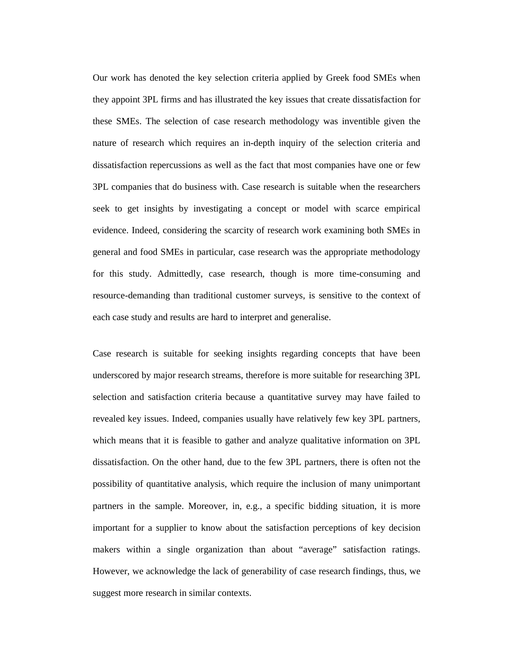Our work has denoted the key selection criteria applied by Greek food SMEs when they appoint 3PL firms and has illustrated the key issues that create dissatisfaction for these SMEs. The selection of case research methodology was inventible given the nature of research which requires an in-depth inquiry of the selection criteria and dissatisfaction repercussions as well as the fact that most companies have one or few 3PL companies that do business with. Case research is suitable when the researchers seek to get insights by investigating a concept or model with scarce empirical evidence. Indeed, considering the scarcity of research work examining both SMEs in general and food SMEs in particular, case research was the appropriate methodology for this study. Admittedly, case research, though is more time-consuming and resource-demanding than traditional customer surveys, is sensitive to the context of each case study and results are hard to interpret and generalise.

Case research is suitable for seeking insights regarding concepts that have been underscored by major research streams, therefore is more suitable for researching 3PL selection and satisfaction criteria because a quantitative survey may have failed to revealed key issues. Indeed, companies usually have relatively few key 3PL partners, which means that it is feasible to gather and analyze qualitative information on 3PL dissatisfaction. On the other hand, due to the few 3PL partners, there is often not the possibility of quantitative analysis, which require the inclusion of many unimportant partners in the sample. Moreover, in, e.g., a specific bidding situation, it is more important for a supplier to know about the satisfaction perceptions of key decision makers within a single organization than about "average" satisfaction ratings. However, we acknowledge the lack of generability of case research findings, thus, we suggest more research in similar contexts.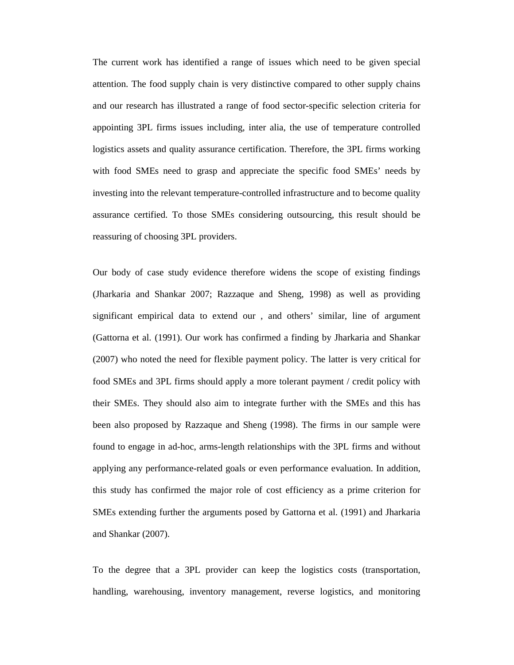The current work has identified a range of issues which need to be given special attention. The food supply chain is very distinctive compared to other supply chains and our research has illustrated a range of food sector-specific selection criteria for appointing 3PL firms issues including, inter alia, the use of temperature controlled logistics assets and quality assurance certification. Therefore, the 3PL firms working with food SMEs need to grasp and appreciate the specific food SMEs' needs by investing into the relevant temperature-controlled infrastructure and to become quality assurance certified. To those SMEs considering outsourcing, this result should be reassuring of choosing 3PL providers.

Our body of case study evidence therefore widens the scope of existing findings (Jharkaria and Shankar 2007; Razzaque and Sheng, 1998) as well as providing significant empirical data to extend our , and others' similar, line of argument (Gattorna et al. (1991). Our work has confirmed a finding by Jharkaria and Shankar (2007) who noted the need for flexible payment policy. The latter is very critical for food SMEs and 3PL firms should apply a more tolerant payment / credit policy with their SMEs. They should also aim to integrate further with the SMEs and this has been also proposed by Razzaque and Sheng (1998). The firms in our sample were found to engage in ad-hoc, arms-length relationships with the 3PL firms and without applying any performance-related goals or even performance evaluation. In addition, this study has confirmed the major role of cost efficiency as a prime criterion for SMEs extending further the arguments posed by Gattorna et al. (1991) and Jharkaria and Shankar (2007).

To the degree that a 3PL provider can keep the logistics costs (transportation, handling, warehousing, inventory management, reverse logistics, and monitoring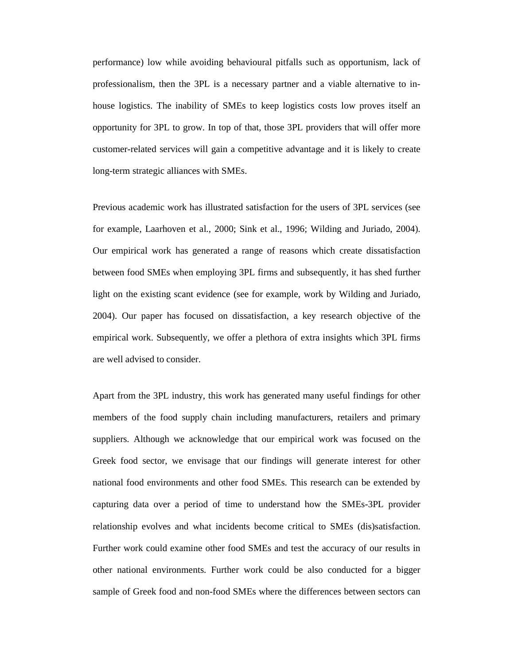performance) low while avoiding behavioural pitfalls such as opportunism, lack of professionalism, then the 3PL is a necessary partner and a viable alternative to inhouse logistics. The inability of SMEs to keep logistics costs low proves itself an opportunity for 3PL to grow. In top of that, those 3PL providers that will offer more customer-related services will gain a competitive advantage and it is likely to create long-term strategic alliances with SMEs.

Previous academic work has illustrated satisfaction for the users of 3PL services (see for example, Laarhoven et al., 2000; Sink et al., 1996; Wilding and Juriado, 2004). Our empirical work has generated a range of reasons which create dissatisfaction between food SMEs when employing 3PL firms and subsequently, it has shed further light on the existing scant evidence (see for example, work by Wilding and Juriado, 2004). Our paper has focused on dissatisfaction, a key research objective of the empirical work. Subsequently, we offer a plethora of extra insights which 3PL firms are well advised to consider.

Apart from the 3PL industry, this work has generated many useful findings for other members of the food supply chain including manufacturers, retailers and primary suppliers. Although we acknowledge that our empirical work was focused on the Greek food sector, we envisage that our findings will generate interest for other national food environments and other food SMEs. This research can be extended by capturing data over a period of time to understand how the SMEs-3PL provider relationship evolves and what incidents become critical to SMEs (dis)satisfaction. Further work could examine other food SMEs and test the accuracy of our results in other national environments. Further work could be also conducted for a bigger sample of Greek food and non-food SMEs where the differences between sectors can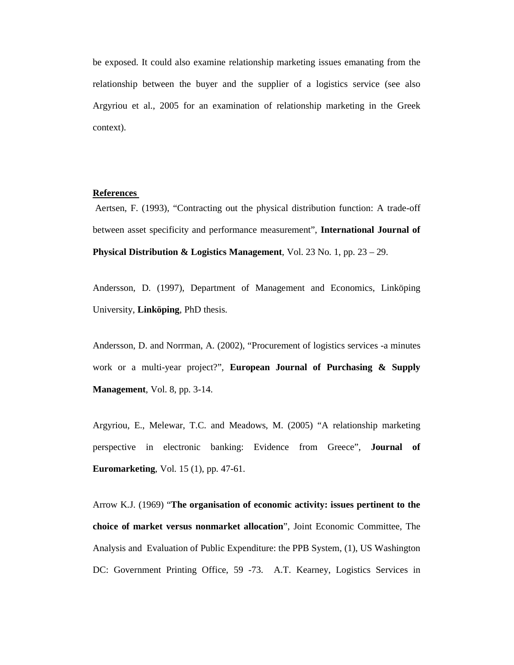be exposed. It could also examine relationship marketing issues emanating from the relationship between the buyer and the supplier of a logistics service (see also Argyriou et al., 2005 for an examination of relationship marketing in the Greek context).

### **References**

 Aertsen, F. (1993), "Contracting out the physical distribution function: A trade-off between asset specificity and performance measurement", **International Journal of Physical Distribution & Logistics Management**, Vol. 23 No. 1, pp. 23 – 29.

Andersson, D. (1997), Department of Management and Economics, Linköping University, **Linköping**, PhD thesis.

Andersson, D. and Norrman, A. (2002), "Procurement of logistics services -a minutes work or a multi-year project?", **European Journal of Purchasing & Supply Management**, Vol. 8, pp. 3-14.

Argyriou, E., Melewar, T.C. and Meadows, M. (2005) "A relationship marketing perspective in electronic banking: Evidence from Greece", **Journal of Euromarketing**, Vol. 15 (1), pp. 47-61.

Arrow K.J. (1969) "**The organisation of economic activity: issues pertinent to the choice of market versus nonmarket allocation**", Joint Economic Committee, The Analysis and Evaluation of Public Expenditure: the PPB System, (1), US Washington DC: Government Printing Office, 59 -73. A.T. Kearney, Logistics Services in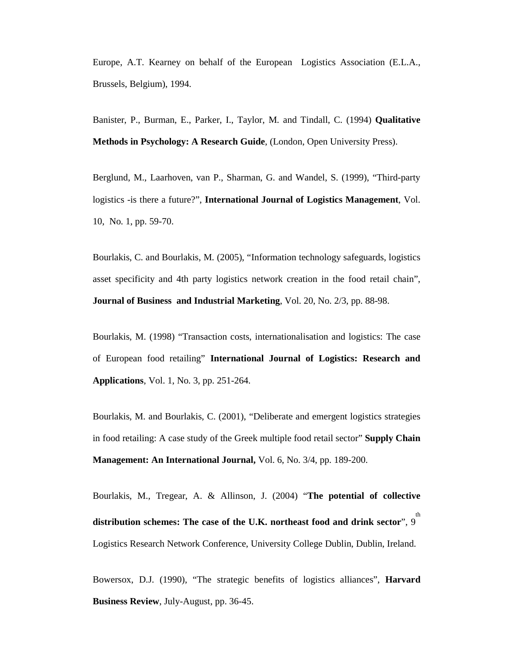Europe, A.T. Kearney on behalf of the European Logistics Association (E.L.A., Brussels, Belgium), 1994.

Banister, P., Burman, E., Parker, I., Taylor, M. and Tindall, C. (1994) **Qualitative Methods in Psychology: A Research Guide**, (London, Open University Press).

Berglund, M., Laarhoven, van P., Sharman, G. and Wandel, S. (1999), "Third-party logistics -is there a future?", **International Journal of Logistics Management**, Vol. 10, No. 1, pp. 59-70.

Bourlakis, C. and Bourlakis, M. (2005), "Information technology safeguards, logistics asset specificity and 4th party logistics network creation in the food retail chain", **Journal of Business and Industrial Marketing**, Vol. 20, No. 2/3, pp. 88-98.

Bourlakis, M. (1998) "Transaction costs, internationalisation and logistics: The case of European food retailing" **International Journal of Logistics: Research and Applications**, Vol. 1, No. 3, pp. 251-264.

Bourlakis, M. and Bourlakis, C. (2001), "Deliberate and emergent logistics strategies in food retailing: A case study of the Greek multiple food retail sector" **Supply Chain Management: An International Journal,** Vol. 6, No. 3/4, pp. 189-200.

Bourlakis, M., Tregear, A. & Allinson, J. (2004) "**The potential of collective distribution schemes: The case of the U.K. northeast food and drink sector**", 9 th Logistics Research Network Conference, University College Dublin, Dublin, Ireland.

Bowersox, D.J. (1990), "The strategic benefits of logistics alliances", **Harvard Business Review**, July-August, pp. 36-45.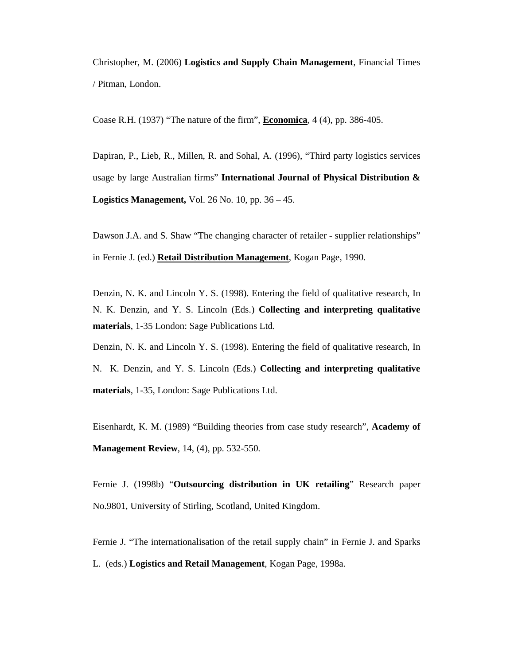Christopher, M. (2006) **Logistics and Supply Chain Management**, Financial Times / Pitman, London.

Coase R.H. (1937) "The nature of the firm", **Economica**, 4 (4), pp. 386-405.

Dapiran, P., Lieb, R., Millen, R. and Sohal, A. (1996), "Third party logistics services usage by large Australian firms" **International Journal of Physical Distribution & Logistics Management,** Vol. 26 No. 10, pp. 36 – 45.

Dawson J.A. and S. Shaw "The changing character of retailer - supplier relationships" in Fernie J. (ed.) **Retail Distribution Management**, Kogan Page, 1990.

Denzin, N. K. and Lincoln Y. S. (1998). Entering the field of qualitative research, In N. K. Denzin, and Y. S. Lincoln (Eds.) **Collecting and interpreting qualitative materials**, 1-35 London: Sage Publications Ltd.

Denzin, N. K. and Lincoln Y. S. (1998). Entering the field of qualitative research, In N. K. Denzin, and Y. S. Lincoln (Eds.) **Collecting and interpreting qualitative materials**, 1-35, London: Sage Publications Ltd.

Eisenhardt, K. M. (1989) "Building theories from case study research", **Academy of Management Review**, 14, (4), pp. 532-550.

Fernie J. (1998b) "**Outsourcing distribution in UK retailing**" Research paper No.9801, University of Stirling, Scotland, United Kingdom.

Fernie J. "The internationalisation of the retail supply chain" in Fernie J. and Sparks L. (eds.) **Logistics and Retail Management**, Kogan Page, 1998a.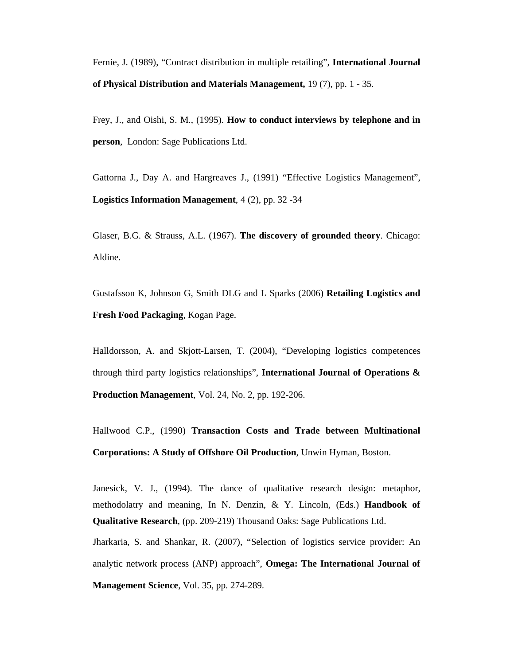Fernie, J. (1989), "Contract distribution in multiple retailing", **International Journal of Physical Distribution and Materials Management,** 19 (7), pp. 1 - 35.

Frey, J., and Oishi, S. M., (1995). **How to conduct interviews by telephone and in person**, London: Sage Publications Ltd.

Gattorna J., Day A. and Hargreaves J., (1991) "Effective Logistics Management", **Logistics Information Management**, 4 (2), pp. 32 -34

Glaser, B.G. & Strauss, A.L. (1967). **The discovery of grounded theory**. Chicago: Aldine.

Gustafsson K, Johnson G, Smith DLG and L Sparks (2006) **Retailing Logistics and Fresh Food Packaging**, Kogan Page.

Halldorsson, A. and Skjott-Larsen, T. (2004), "Developing logistics competences through third party logistics relationships", **International Journal of Operations & Production Management**, Vol. 24, No. 2, pp. 192-206.

Hallwood C.P., (1990) **Transaction Costs and Trade between Multinational Corporations: A Study of Offshore Oil Production**, Unwin Hyman, Boston.

Janesick, V. J., (1994). The dance of qualitative research design: metaphor, methodolatry and meaning, In N. Denzin, & Y. Lincoln, (Eds.) **Handbook of Qualitative Research***,* (pp. 209-219) Thousand Oaks: Sage Publications Ltd.

Jharkaria, S. and Shankar, R. (2007), "Selection of logistics service provider: An analytic network process (ANP) approach", **Omega: The International Journal of Management Science**, Vol. 35, pp. 274-289.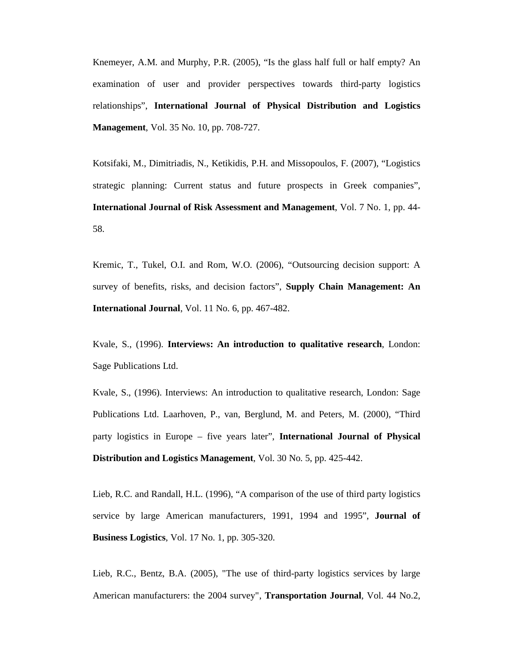Knemeyer, A.M. and Murphy, P.R. (2005), "Is the glass half full or half empty? An examination of user and provider perspectives towards third-party logistics relationships", **International Journal of Physical Distribution and Logistics Management**, Vol. 35 No. 10, pp. 708-727.

Kotsifaki, M., Dimitriadis, N., Ketikidis, P.H. and Missopoulos, F. (2007), "Logistics strategic planning: Current status and future prospects in Greek companies", **International Journal of Risk Assessment and Management**, Vol. 7 No. 1, pp. 44- 58.

Kremic, T., Tukel, O.I. and Rom, W.O. (2006), "Outsourcing decision support: A survey of benefits, risks, and decision factors", **Supply Chain Management: An International Journal**, Vol. 11 No. 6, pp. 467-482.

Kvale, S., (1996). **Interviews: An introduction to qualitative research**, London: Sage Publications Ltd.

Kvale, S., (1996). Interviews: An introduction to qualitative research, London: Sage Publications Ltd. Laarhoven, P., van, Berglund, M. and Peters, M. (2000), "Third party logistics in Europe – five years later", **International Journal of Physical Distribution and Logistics Management**, Vol. 30 No. 5, pp. 425-442.

Lieb, R.C. and Randall, H.L. (1996), "A comparison of the use of third party logistics service by large American manufacturers, 1991, 1994 and 1995", **Journal of Business Logistics**, Vol. 17 No. 1, pp. 305-320.

Lieb, R.C., Bentz, B.A. (2005), "The use of third-party logistics services by large American manufacturers: the 2004 survey", **Transportation Journal**, Vol. 44 No.2,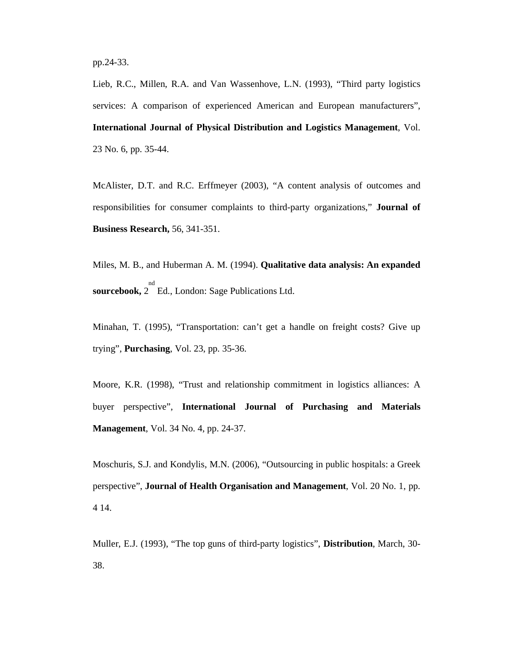Lieb, R.C., Millen, R.A. and Van Wassenhove, L.N. (1993), "Third party logistics services: A comparison of experienced American and European manufacturers", **International Journal of Physical Distribution and Logistics Management**, Vol. 23 No. 6, pp. 35-44.

McAlister, D.T. and R.C. Erffmeyer (2003), "A content analysis of outcomes and responsibilities for consumer complaints to third-party organizations," **Journal of Business Research,** 56, 341-351.

Miles, M. B., and Huberman A. M. (1994). **Qualitative data analysis: An expanded**  sourcebook, 2<sup>nd</sup> Ed., London: Sage Publications Ltd.

Minahan, T. (1995), "Transportation: can't get a handle on freight costs? Give up trying", **Purchasing**, Vol. 23, pp. 35-36.

Moore, K.R. (1998), "Trust and relationship commitment in logistics alliances: A buyer perspective", **International Journal of Purchasing and Materials Management**, Vol. 34 No. 4, pp. 24-37.

Moschuris, S.J. and Kondylis, M.N. (2006), "Outsourcing in public hospitals: a Greek perspective", **Journal of Health Organisation and Management**, Vol. 20 No. 1, pp. 4 14.

Muller, E.J. (1993), "The top guns of third-party logistics", **Distribution**, March, 30- 38.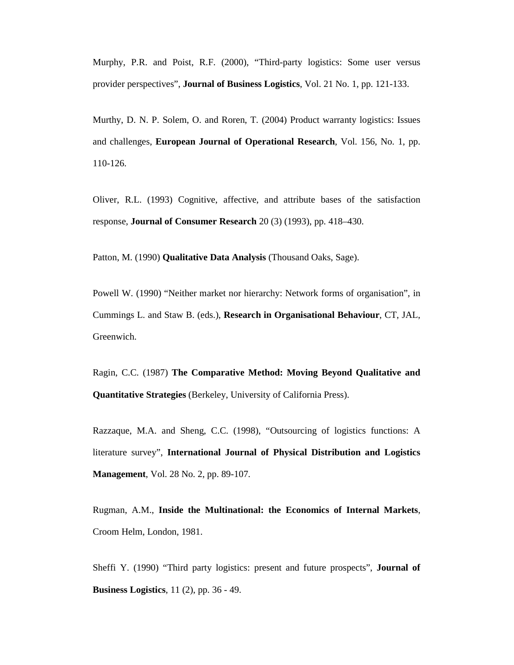Murphy, P.R. and Poist, R.F. (2000), "Third-party logistics: Some user versus provider perspectives", **Journal of Business Logistics**, Vol. 21 No. 1, pp. 121-133.

Murthy, D. N. P. Solem, O. and Roren, T. (2004) Product warranty logistics: Issues and challenges, **European Journal of Operational Research**, Vol. 156, No. 1, pp. 110-126.

Oliver, R.L. (1993) Cognitive, affective, and attribute bases of the satisfaction response, **Journal of Consumer Research** 20 (3) (1993), pp. 418–430.

Patton, M. (1990) **Qualitative Data Analysis** (Thousand Oaks, Sage).

Powell W. (1990) "Neither market nor hierarchy: Network forms of organisation", in Cummings L. and Staw B. (eds.), **Research in Organisational Behaviour**, CT, JAL, Greenwich.

Ragin, C.C. (1987) **The Comparative Method: Moving Beyond Qualitative and Quantitative Strategies** (Berkeley, University of California Press).

Razzaque, M.A. and Sheng, C.C. (1998), "Outsourcing of logistics functions: A literature survey", **International Journal of Physical Distribution and Logistics Management**, Vol. 28 No. 2, pp. 89-107.

Rugman, A.M., **Inside the Multinational: the Economics of Internal Markets**, Croom Helm, London, 1981.

Sheffi Y. (1990) "Third party logistics: present and future prospects", **Journal of Business Logistics**, 11 (2), pp. 36 - 49.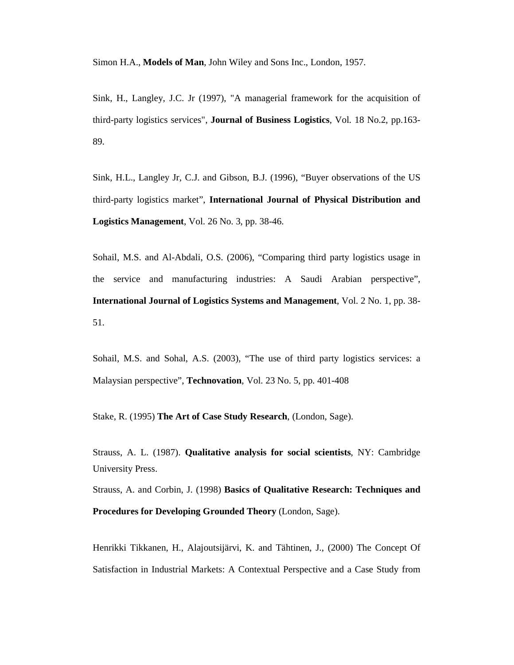Simon H.A., **Models of Man**, John Wiley and Sons Inc., London, 1957.

Sink, H., Langley, J.C. Jr (1997), "A managerial framework for the acquisition of third-party logistics services", **Journal of Business Logistics**, Vol. 18 No.2, pp.163- 89.

Sink, H.L., Langley Jr, C.J. and Gibson, B.J. (1996), "Buyer observations of the US third-party logistics market", **International Journal of Physical Distribution and Logistics Management**, Vol. 26 No. 3, pp. 38-46.

Sohail, M.S. and Al-Abdali, O.S. (2006), "Comparing third party logistics usage in the service and manufacturing industries: A Saudi Arabian perspective", **International Journal of Logistics Systems and Management**, Vol. 2 No. 1, pp. 38- 51.

Sohail, M.S. and Sohal, A.S. (2003), "The use of third party logistics services: a Malaysian perspective", **Technovation**, Vol. 23 No. 5, pp. 401-408

Stake, R. (1995) **The Art of Case Study Research**, (London, Sage).

Strauss, A. L. (1987). **Qualitative analysis for social scientists**, NY: Cambridge University Press.

Strauss, A. and Corbin, J. (1998) **Basics of Qualitative Research: Techniques and Procedures for Developing Grounded Theory** (London, Sage).

Henrikki Tikkanen, H., Alajoutsijärvi, K. and Tähtinen, J., (2000) The Concept Of Satisfaction in Industrial Markets: A Contextual Perspective and a Case Study from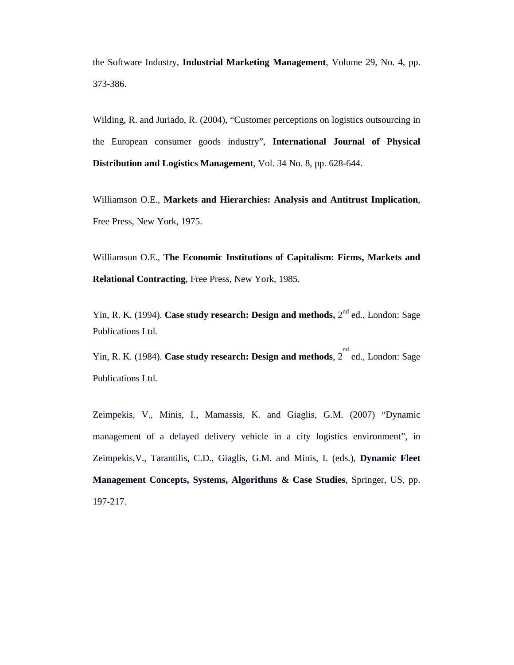the Software Industry, **Industrial Marketing Management**, Volume 29, No. 4, pp. 373-386.

Wilding, R. and Juriado, R. (2004), "Customer perceptions on logistics outsourcing in the European consumer goods industry", **International Journal of Physical Distribution and Logistics Management**, Vol. 34 No. 8, pp. 628-644.

Williamson O.E., **Markets and Hierarchies: Analysis and Antitrust Implication**, Free Press, New York, 1975.

Williamson O.E., **The Economic Institutions of Capitalism: Firms, Markets and Relational Contracting**, Free Press, New York, 1985.

Yin, R. K. (1994). **Case study research: Design and methods,**  $2^{nd}$  ed., London: Sage Publications Ltd.

Yin, R. K. (1984). **Case study research: Design and methods**, 2 ed., London: Sage nd Publications Ltd.

Zeimpekis, V., Minis, I., Mamassis, K. and Giaglis, G.M. (2007) "Dynamic management of a delayed delivery vehicle in a city logistics environment", in Zeimpekis,V., Tarantilis, C.D., Giaglis, G.M. and Minis, I. (eds.), **Dynamic Fleet Management Concepts, Systems, Algorithms & Case Studies**, Springer, US, pp. 197-217.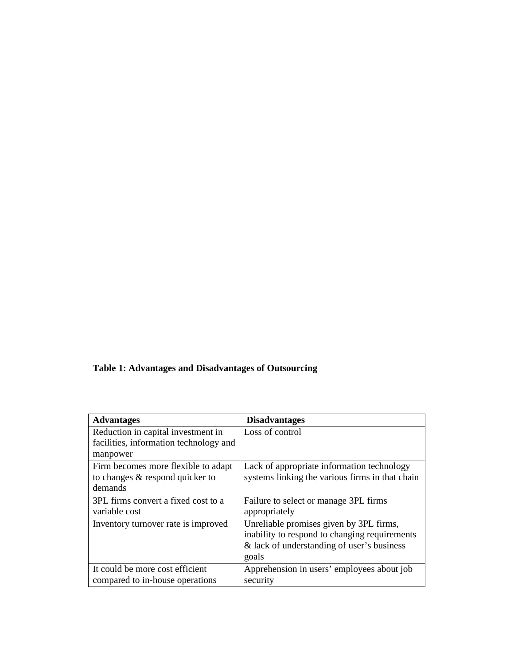### **Table 1: Advantages and Disadvantages of Outsourcing**

| <b>Advantages</b>                      | <b>Disadvantages</b>                            |
|----------------------------------------|-------------------------------------------------|
| Reduction in capital investment in     | Loss of control                                 |
| facilities, information technology and |                                                 |
| manpower                               |                                                 |
| Firm becomes more flexible to adapt    | Lack of appropriate information technology      |
| to changes & respond quicker to        | systems linking the various firms in that chain |
| demands                                |                                                 |
| 3PL firms convert a fixed cost to a    | Failure to select or manage 3PL firms           |
| variable cost                          | appropriately                                   |
| Inventory turnover rate is improved    | Unreliable promises given by 3PL firms,         |
|                                        | inability to respond to changing requirements   |
|                                        | & lack of understanding of user's business      |
|                                        | goals                                           |
| It could be more cost efficient        | Apprehension in users' employees about job      |
| compared to in-house operations        | security                                        |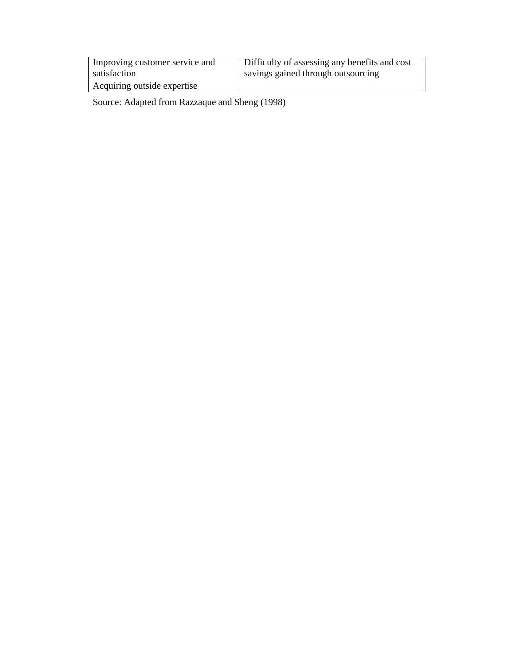| Improving customer service and | Difficulty of assessing any benefits and cost |
|--------------------------------|-----------------------------------------------|
| satisfaction                   | savings gained through outsourcing            |
| Acquiring outside expertise    |                                               |

Source: Adapted from Razzaque and Sheng (1998)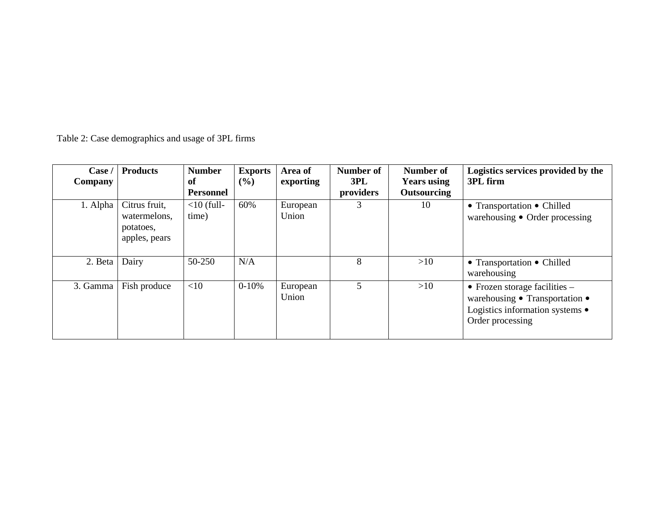Table 2: Case demographics and usage of 3PL firms

| Case<br><b>Company</b> | <b>Products</b>                                             | <b>Number</b><br>of<br><b>Personnel</b> | <b>Exports</b><br>$($ %) | Area of<br>exporting | Number of<br>3PL<br>providers | Number of<br><b>Years using</b><br><b>Outsourcing</b> | Logistics services provided by the<br>3PL firm                                                                           |
|------------------------|-------------------------------------------------------------|-----------------------------------------|--------------------------|----------------------|-------------------------------|-------------------------------------------------------|--------------------------------------------------------------------------------------------------------------------------|
| 1. Alpha               | Citrus fruit,<br>watermelons,<br>potatoes,<br>apples, pears | $<$ 10 (full-<br>time)                  | 60%                      | European<br>Union    |                               | 10                                                    | • Transportation • Chilled<br>warehousing • Order processing                                                             |
| 2. Beta                | Dairy                                                       | 50-250                                  | N/A                      |                      | 8                             | >10                                                   | • Transportation • Chilled<br>warehousing                                                                                |
| 3. Gamma               | Fish produce                                                | <10                                     | $0 - 10%$                | European<br>Union    | 5                             | >10                                                   | • Frozen storage facilities $-$<br>warehousing • Transportation •<br>Logistics information systems •<br>Order processing |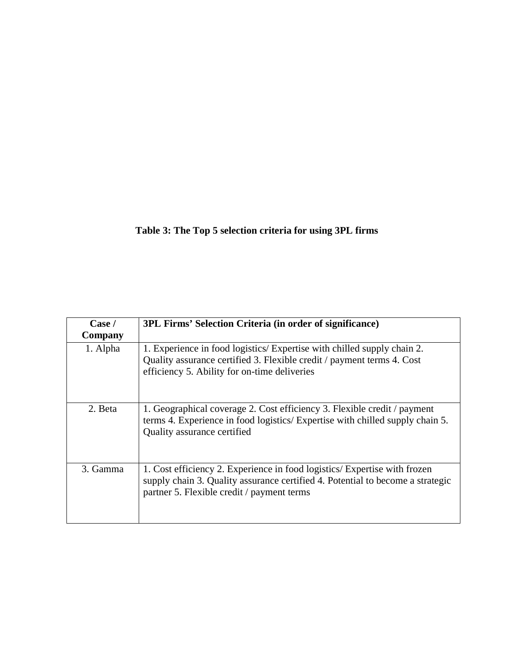### **Table 3: The Top 5 selection criteria for using 3PL firms**

| Case /<br>Company | 3PL Firms' Selection Criteria (in order of significance)                                                                                                                                                  |
|-------------------|-----------------------------------------------------------------------------------------------------------------------------------------------------------------------------------------------------------|
| 1. Alpha          | 1. Experience in food logistics/Expertise with chilled supply chain 2.<br>Quality assurance certified 3. Flexible credit / payment terms 4. Cost<br>efficiency 5. Ability for on-time deliveries          |
| 2. Beta           | 1. Geographical coverage 2. Cost efficiency 3. Flexible credit / payment<br>terms 4. Experience in food logistics/ Expertise with chilled supply chain 5.<br>Quality assurance certified                  |
| 3. Gamma          | 1. Cost efficiency 2. Experience in food logistics/ Expertise with frozen<br>supply chain 3. Quality assurance certified 4. Potential to become a strategic<br>partner 5. Flexible credit / payment terms |